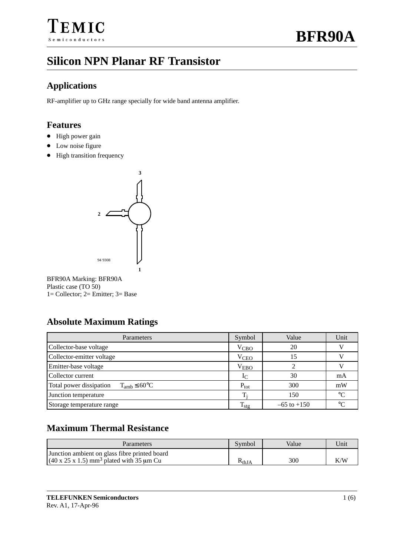# **Silicon NPN Planar RF Transistor**

#### **Applications**

RF-amplifier up to GHz range specially for wide band antenna amplifier.

#### **Features**

- High power gain
- Low noise figure
- High transition frequency



BFR90A Marking: BFR90A Plastic case (TO 50) 1= Collector; 2= Emitter; 3= Base

### **Absolute Maximum Ratings**

| Parameters                                            | Symbol           | Value           | Unit      |
|-------------------------------------------------------|------------------|-----------------|-----------|
| Collector-base voltage                                | V <sub>CBO</sub> | 20              |           |
| Collector-emitter voltage                             | V <sub>CEO</sub> | 15              |           |
| Emitter-base voltage                                  | $V_{EBO}$        |                 |           |
| Collector current                                     | $1_{\text{C}}$   | 30              | mA        |
| Total power dissipation<br>$T_{amb} \leq 60^{\circ}C$ | $P_{\text{tot}}$ | 300             | mW        |
| Junction temperature                                  | т.               | 150             | $\circ$ C |
| Storage temperature range                             | $1_{\text{stg}}$ | $-65$ to $+150$ | $\circ$   |

### **Maximum Thermal Resistance**

| <b>Parameters</b>                                                                                                 | Symbol         | Value | Unit |
|-------------------------------------------------------------------------------------------------------------------|----------------|-------|------|
| Junction ambient on glass fibre printed board<br>$(40 \times 25 \times 1.5)$ mm <sup>3</sup> plated with 35 µm Cu | $\rm K_{thJA}$ | 300   | K/W  |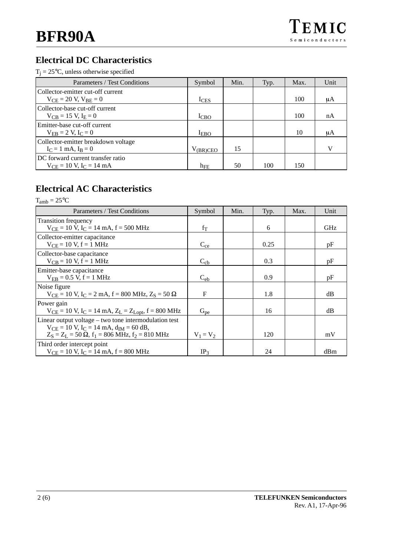#### **Electrical DC Characteristics**

| Parameters / Test Conditions                                                   | Symbol                    | Min. | Typ. | Max. | Unit         |
|--------------------------------------------------------------------------------|---------------------------|------|------|------|--------------|
| Collector-emitter cut-off current<br>$V_{\text{CE}} = 20 V, V_{\text{BE}} = 0$ | $I_{CES}$                 |      |      | 100  | μA           |
| Collector-base cut-off current<br>$V_{CB} = 15 V, I_E = 0$                     | $_{\text{CBO}}$           |      |      | 100  | nA           |
| Emitter-base cut-off current<br>$V_{FB} = 2 V, I_C = 0$                        | I <sub>EBO</sub>          |      |      | 10   | μA           |
| Collector-emitter breakdown voltage<br>$I_C = 1$ mA, $I_B = 0$                 | $V$ <sub>(BR)</sub> $CEO$ | 15   |      |      | $\mathbf{V}$ |
| DC forward current transfer ratio<br>$V_{CE} = 10 V$ , $I_C = 14 mA$           | $h_{FE}$                  | 50   | 100  | 150  |              |

#### **Electrical AC Characteristics**

 $T_{amb} = 25^{\circ}C$ Parameters / Test Conditions | Symbol | Min. | Typ. | Max. | Unit Transition frequency  $V_{CE} = 10 \text{ V}, I_C = 14 \text{ mA}, f = 500 \text{ MHz}$  f<sub>T</sub> f<sub>T</sub> 6 GHz Collector-emitter capacitance  $V_{CE} = 10 \text{ V}, f = 1 \text{ MHz}$   $C_{ce}$  0.25 pF Collector-base capacitance  $V_{CB} = 10 V, f = 1 MHz$   $C_{cb}$  0.3 pF Emitter-base capacitance  $V_{EB} = 0.5 \text{ V}, f = 1 \text{ MHz}$   $C_{eb}$  0.9 pF Noise figure  $V_{CE} = 10 \text{ V}, I_C = 2 \text{ mA}, f = 800 \text{ MHz}, Z_S = 50 \Omega$  F 1.8 dB Power gain  $V_{CE} = 10 \text{ V}, I_C = 14 \text{ mA}, Z_L = Z_{Lopt}, f = 800 \text{ MHz}$  G<sub>pe</sub> 16 16 dB Linear output voltage – two tone intermodulation test  $V_{CE} = 10$  V,  $I_C = 14$  mA,  $d_{IM} = 60$  dB,  $Z_S = Z_L = 50 \Omega$ ,  $f_1 = 806 \text{ MHz}$ ,  $f_2 = 810 \text{ MHz}$   $V_1 = V_2$  120 120 mV Third order intercept point  $V_{CE} = 10 \text{ V}, I_C = 14 \text{ mA}, f = 800 \text{ MHz}$  |  $IP_3$  | 24 | dBm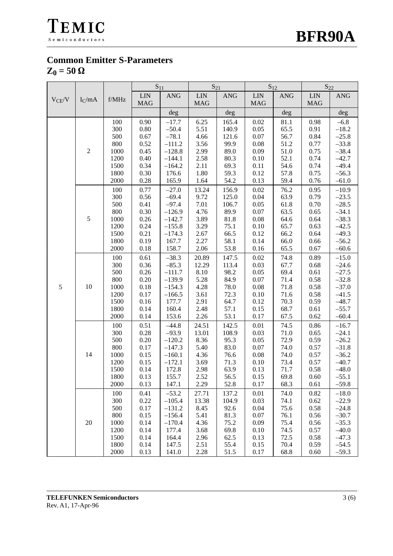



#### **Common Emitter S-Parameters**  $Z_0 = 50 \Omega$

|            | $I_C$ /mA      |                     | $S_{11}$   |            | $S_{21}$   |            | $S_{12}$    |            | $S_{22}$   |            |
|------------|----------------|---------------------|------------|------------|------------|------------|-------------|------------|------------|------------|
| $V_{CE}/V$ |                |                     | <b>LIN</b> | <b>ANG</b> | <b>LIN</b> | <b>ANG</b> | ${\rm LIN}$ | <b>ANG</b> | <b>LIN</b> | <b>ANG</b> |
|            |                | ${\rm f}/{\rm MHz}$ | <b>MAG</b> |            | <b>MAG</b> |            | <b>MAG</b>  |            | <b>MAG</b> |            |
|            |                |                     |            | deg        |            | deg        |             | deg        |            | deg        |
|            |                | 100                 | 0.90       | $-17.7$    | 6.25       | 165.4      | 0.02        | 81.1       | 0.98       | $-6.8$     |
|            |                | 300                 | $0.80\,$   | $-50.4$    | 5.51       | 140.9      | $0.05\,$    | 65.5       | 0.91       | $-18.2$    |
|            |                | 500                 | 0.67       | $-78.1$    | 4.66       | 121.6      | 0.07        | 56.7       | 0.84       | $-25.8$    |
|            | $\mathfrak{2}$ | 800                 | 0.52       | $-111.2$   | 3.56       | 99.9       | 0.08        | 51.2       | 0.77       | $-33.8$    |
|            |                | 1000                | 0.45       | $-128.8$   | 2.99       | 89.0       | 0.09        | 51.0       | 0.75       | $-38.4$    |
|            |                | 1200                | 0.40       | $-144.1$   | 2.58       | 80.3       | 0.10        | 52.1       | 0.74       | $-42.7$    |
|            |                | 1500                | 0.34       | $-164.2$   | 2.11       | 69.3       | 0.11        | 54.6       | 0.74       | $-49.4$    |
|            |                | 1800                | 0.30       | 176.6      | 1.80       | 59.3       | 0.12        | 57.8       | 0.75       | $-56.3$    |
|            |                | 2000                | 0.28       | 165.9      | 1.64       | 54.2       | 0.13        | 59.4       | 0.76       | $-61.0$    |
|            |                | 100                 | 0.77       | $-27.0$    | 13.24      | 156.9      | 0.02        | 76.2       | 0.95       | $-10.9$    |
|            |                | 300                 | 0.56       | $-69.4$    | 9.72       | 125.0      | 0.04        | 63.9       | 0.79       | $-23.5$    |
|            |                | 500                 | 0.41       | $-97.4$    | 7.01       | 106.7      | $0.05\,$    | 61.8       | 0.70       | $-28.5$    |
|            |                | 800                 | 0.30       | $-126.9$   | 4.76       | 89.9       | $0.07\,$    | 63.5       | 0.65       | $-34.1$    |
|            | 5              | 1000                | 0.26       | $-142.7$   | 3.89       | 81.8       | $0.08\,$    | 64.6       | 0.64       | $-38.3$    |
|            |                | 1200                | 0.24       | $-155.8$   | 3.29       | 75.1       | $0.10\,$    | 65.7       | 0.63       | $-42.5$    |
|            |                | 1500                | 0.21       | $-174.3$   | 2.67       | 66.5       | 0.12        | 66.2       | 0.64       | $-49.3$    |
|            |                | 1800                | 0.19       | 167.7      | 2.27       | 58.1       | 0.14        | 66.0       | 0.66       | $-56.2$    |
|            |                | 2000                | 0.18       | 158.7      | 2.06       | 53.8       | 0.16        | 65.5       | 0.67       | $-60.6$    |
|            |                | 100                 | 0.61       | $-38.3$    | 20.89      | 147.5      | 0.02        | 74.8       | 0.89       | $-15.0$    |
|            | 10             | 300                 | 0.36       | $-85.3$    | 12.29      | 113.4      | 0.03        | 67.7       | 0.68       | $-24.6$    |
|            |                | 500                 | 0.26       | $-111.7$   | 8.10       | 98.2       | 0.05        | 69.4       | 0.61       | $-27.5$    |
|            |                | 800                 | $0.20\,$   | $-139.9$   | 5.28       | 84.9       | $0.07\,$    | 71.4       | 0.58       | $-32.8$    |
| $\sqrt{5}$ |                | 1000                | 0.18       | $-154.3$   | 4.28       | 78.0       | 0.08        | 71.8       | 0.58       | $-37.0$    |
|            |                | 1200                | 0.17       | $-166.5$   | 3.61       | 72.3       | $0.10\,$    | 71.6       | 0.58       | $-41.5$    |
|            |                | 1500                | 0.16       | 177.7      | 2.91       | 64.7       | 0.12        | 70.3       | 0.59       | $-48.7$    |
|            |                | 1800                | 0.14       | 160.4      | 2.48       | 57.1       | 0.15        | 68.7       | 0.61       | $-55.7$    |
|            |                | 2000                | 0.14       | 153.6      | 2.26       | 53.1       | 0.17        | 67.5       | 0.62       | $-60.4$    |
|            | 14             | 100                 | 0.51       | $-44.8$    | 24.51      | 142.5      | 0.01        | 74.5       | 0.86       | $-16.7$    |
|            |                | 300                 | 0.28       | $-93.9$    | 13.01      | 108.9      | 0.03        | 71.0       | 0.65       | $-24.1$    |
|            |                | 500                 | $0.20\,$   | $-120.2$   | 8.36       | 95.3       | 0.05        | 72.9       | 0.59       | $-26.2$    |
|            |                | 800                 | 0.17       | $-147.3$   | 5.40       | 83.0       | $0.07\,$    | 74.0       | 0.57       | $-31.8$    |
|            |                | 1000                | 0.15       | $-160.1$   | 4.36       | 76.6       | $0.08\,$    | 74.0       | 0.57       | $-36.2$    |
|            |                | 1200                | 0.15       | $-172.1$   | 3.69       | 71.3       | 0.10        | 73.4       | 0.57       | $-40.7$    |
|            |                | 1500                | 0.14       | 172.8      | 2.98       | 63.9       | 0.13        | 71.7       | 0.58       | $-48.0$    |
|            |                | 1800                | 0.13       | 155.7      | 2.52       | 56.5       | 0.15        | 69.8       | 0.60       | $-55.1$    |
|            |                | 2000                | 0.13       | 147.1      | 2.29       | 52.8       | 0.17        | 68.3       | 0.61       | $-59.8$    |
|            |                | 100                 | 0.41       | $-53.2$    | 27.71      | 137.2      | 0.01        | 74.0       | 0.82       | $-18.0$    |
|            |                | 300                 | 0.22       | $-105.4$   | 13.38      | 104.9      | 0.03        | 74.1       | 0.62       | $-22.9$    |
|            |                | 500                 | 0.17       | $-131.2$   | 8.45       | 92.6       | 0.04        | 75.6       | 0.58       | $-24.8$    |
|            |                | 800                 | 0.15       | $-156.4$   | 5.41       | 81.3       | 0.07        | 76.1       | 0.56       | $-30.7$    |
|            | $20\,$         | 1000                | 0.14       | $-170.4$   | 4.36       | 75.2       | 0.09        | 75.4       | 0.56       | $-35.3$    |
|            |                | 1200                | 0.14       | 177.4      | 3.68       | 69.8       | 0.10        | 74.5       | 0.57       | $-40.0$    |
|            |                | 1500                | 0.14       | 164.4      | 2.96       | 62.5       | 0.13        | 72.5       | 0.58       | $-47.3$    |
|            |                | 1800                | 0.14       | 147.5      | 2.51       | 55.4       | 0.15        | 70.4       | 0.59       | $-54.5$    |
|            |                | 2000                | 0.13       | 141.0      | 2.28       | 51.5       | 0.17        | 68.8       | 0.60       | $-59.3$    |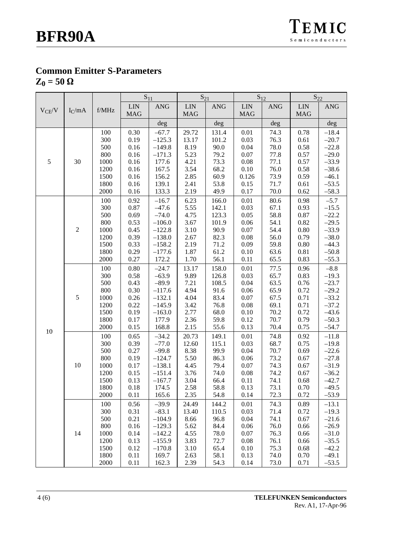## **Common Emitter S-Parameters**

 $Z_0 = 50 \Omega$ 

|            |            | $S_{11}$    |            |                | $S_{21}$   |                | $S_{12}$   |            | $S_{22}$   |            |
|------------|------------|-------------|------------|----------------|------------|----------------|------------|------------|------------|------------|
|            |            |             | <b>LIN</b> | $\mathbf{ANG}$ | <b>LIN</b> | $\mathbf{ANG}$ | <b>LIN</b> | <b>ANG</b> | <b>LIN</b> | <b>ANG</b> |
| $V_{CE}/V$ | $I_C$ /mA  | $\rm f/MHz$ | <b>MAG</b> |                | <b>MAG</b> |                | <b>MAG</b> |            | <b>MAG</b> |            |
|            |            |             |            | deg            |            | deg            |            | deg        |            | deg        |
|            |            | 100         | 0.30       | $-67.7$        | 29.72      | 131.4          | 0.01       | 74.3       | 0.78       | $-18.4$    |
|            |            | 300         | 0.19       | $-125.3$       | 13.17      | 101.2          | 0.03       | 76.3       | 0.61       | $-20.7$    |
|            |            | 500         | 0.16       | $-149.8$       | 8.19       | 90.0           | 0.04       | 78.0       | 0.58       | $-22.8$    |
|            |            | 800         | 0.16       | $-171.3$       | 5.23       | 79.2           | 0.07       | 77.8       | 0.57       | $-29.0$    |
| $\sqrt{5}$ | 30         | 1000        | 0.16       | 177.6          | 4.21       | 73.3           | 0.08       | 77.1       | 0.57       | $-33.9$    |
|            |            | 1200        | 0.16       | 167.5          | 3.54       | 68.2           | 0.10       | 76.0       | 0.58       | $-38.6$    |
|            |            | 1500        | 0.16       | 156.2          | 2.85       | 60.9           | 0.126      | 73.9       | 0.59       | $-46.1$    |
|            |            | 1800        | 0.16       | 139.1          | 2.41       | 53.8           | 0.15       | 71.7       | 0.61       | $-53.5$    |
|            |            | 2000        | 0.16       | 133.3          | 2.19       | 49.9           | 0.17       | 70.0       | 0.62       | $-58.3$    |
|            |            | 100         | 0.92       | $-16.7$        | 6.23       | 166.0          | $0.01\,$   | 80.6       | 0.98       | $-5.7$     |
|            |            | 300         | 0.87       | $-47.6$        | 5.55       | 142.1          | 0.03       | 67.1       | 0.93       | $-15.5$    |
|            |            | 500         | 0.69       | $-74.0$        | 4.75       | 123.3          | 0.05       | 58.8       | 0.87       | $-22.2$    |
|            |            | 800         | 0.53       | $-106.0$       | 3.67       | 101.9          | $0.06\,$   | 54.1       | 0.82       | $-29.5$    |
|            | $\sqrt{2}$ | 1000        | 0.45       | $-122.8$       | 3.10       | 90.9           | 0.07       | 54.4       | 0.80       | $-33.9$    |
|            |            | 1200        | 0.39       | $-138.0$       | 2.67       | 82.3           | 0.08       | 56.0       | 0.79       | $-38.0$    |
|            |            | 1500        | 0.33       | $-158.2$       | 2.19       | 71.2           | 0.09       | 59.8       | 0.80       | $-44.3$    |
|            |            | 1800        | 0.29       | $-177.6$       | 1.87       | 61.2           | 0.10       | 63.6       | 0.81       | $-50.8$    |
|            |            | 2000        | 0.27       | 172.2          | 1.70       | 56.1           | 0.11       | 65.5       | 0.83       | $-55.3$    |
|            |            | 100         | 0.80       | $-24.7$        | 13.17      | 158.0          | 0.01       | 77.5       | 0.96       | $-8.8$     |
|            |            | 300         | 0.58       | $-63.9$        | 9.89       | 126.8          | 0.03       | 65.7       | 0.83       | $-19.3$    |
|            |            | 500         | 0.43       | $-89.9$        | 7.21       | 108.5          | 0.04       | 63.5       | 0.76       | $-23.7$    |
|            |            | 800         | 0.30       | $-117.6$       | 4.94       | 91.6           | 0.06       | 65.9       | 0.72       | $-29.2$    |
|            | 5          | $1000\,$    | 0.26       | $-132.1$       | 4.04       | 83.4           | $0.07\,$   | 67.5       | 0.71       | $-33.2$    |
|            |            | 1200        | 0.22       | $-145.9$       | 3.42       | 76.8           | 0.08       | 69.1       | 0.71       | $-37.2$    |
|            |            | 1500        | 0.19       | $-163.0$       | 2.77       | 68.0           | 0.10       | 70.2       | 0.72       | $-43.6$    |
|            |            | 1800        | 0.17       | 177.9          | 2.36       | 59.8           | 0.12       | 70.7       | 0.79       | $-50.3$    |
| 10         |            | 2000        | 0.15       | 168.8          | 2.15       | 55.6           | 0.13       | 70.4       | 0.75       | $-54.7$    |
|            | 10         | 100         | 0.65       | $-34.2$        | 20.73      | 149.1          | 0.01       | 74.8       | 0.92       | $-11.8$    |
|            |            | 300         | 0.39       | $-77.0$        | 12.60      | 115.1          | 0.03       | 68.7       | 0.75       | $-19.8$    |
|            |            | 500         | 0.27       | $-99.8$        | 8.38       | 99.9           | 0.04       | 70.7       | 0.69       | $-22.6$    |
|            |            | 800         | 0.19       | $-124.7$       | 5.50       | 86.3           | $0.06\,$   | 73.2       | 0.67       | $-27.8$    |
|            |            | 1000        | 0.17       | $-138.1$       | 4.45       | 79.4           | $0.07\,$   | 74.3       | 0.67       | $-31.9$    |
|            |            | 1200        | 0.15       | $-151.4$       | 3.76       | 74.0           | $0.08\,$   | 74.2       | 0.67       | $-36.2$    |
|            |            | 1500        | 0.13       | $-167.7$       | 3.04       | 66.4           | 0.11       | 74.1       | 0.68       | $-42.7$    |
|            |            | 1800        | 0.18       | 174.5          | 2.58       | 58.8           | 0.13       | 73.1       | $0.70\,$   | $-49.5$    |
|            |            | 2000        | 0.11       | 165.6          | 2.35       | 54.8           | 0.14       | 72.3       | 0.72       | $-53.9$    |
|            |            | 100         | 0.56       | $-39.9$        | 24.49      | 144.2          | 0.01       | 74.3       | 0.89       | $-13.1$    |
|            |            | 300         | 0.31       | $-83.1$        | 13.40      | 110.5          | 0.03       | 71.4       | 0.72       | $-19.3$    |
|            |            | 500         | 0.21       | $-104.9$       | 8.66       | 96.8           | 0.04       | 74.1       | 0.67       | $-21.6$    |
|            | 14         | 800         | 0.16       | $-129.3$       | 5.62       | 84.4           | 0.06       | 76.0       | 0.66       | $-26.9$    |
|            |            | 1000        | 0.14       | $-142.2$       | 4.55       | 78.0           | 0.07       | 76.3       | 0.66       | $-31.0$    |
|            |            | 1200        | 0.13       | $-155.9$       | 3.83       | 72.7           | 0.08       | 76.1       | 0.66       | $-35.5$    |
|            |            | 1500        | 0.12       | $-170.8$       | 3.10       | 65.4           | 0.10       | 75.3       | 0.68       | $-42.2$    |
|            |            | 1800        | 0.11       | 169.7          | 2.63       | 58.1           | 0.13       | 74.0       | 0.70       | $-49.1$    |
|            |            | 2000        | 0.11       | 162.3          | 2.39       | 54.3           | 0.14       | 73.0       | 0.71       | $-53.5$    |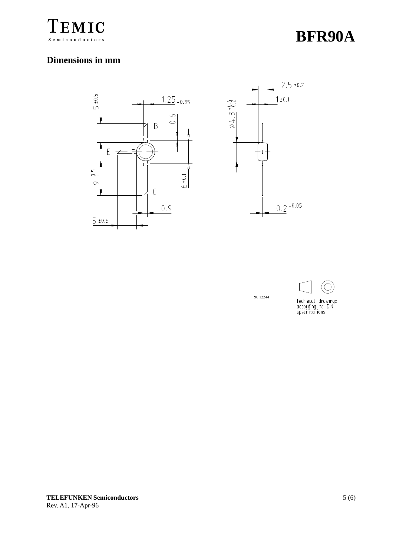

#### **Dimensions in mm**